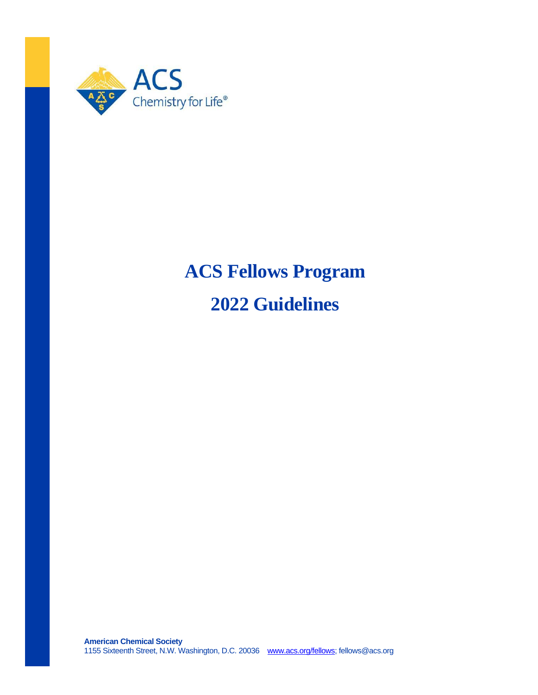

# **ACS Fellows Program**

**2022 Guidelines**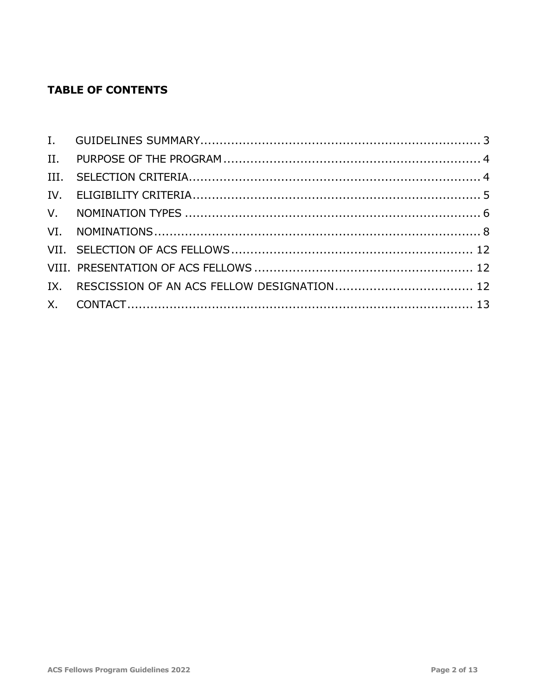# **TABLE OF CONTENTS**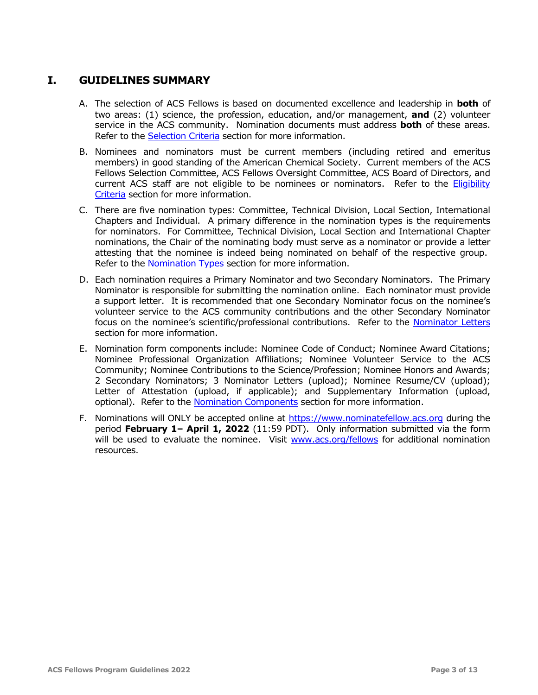## <span id="page-2-0"></span>**I. GUIDELINES SUMMARY**

- A. The selection of ACS Fellows is based on documented excellence and leadership in **both** of two areas: (1) science, the profession, education, and/or management, **and** (2) volunteer service in the ACS community. Nomination documents must address **both** of these areas. Refer to the [Selection Criteria](#page-3-1) section for more information.
- B. Nominees and nominators must be current members (including retired and emeritus members) in good standing of the American Chemical Society. Current members of the ACS Fellows Selection Committee, ACS Fellows Oversight Committee, ACS Board of Directors, and current ACS staff are not eligible to be nominees or nominators. Refer to the Eligibility [Criteria](#page-4-0) section for more information.
- C. There are five nomination types: Committee, Technical Division, Local Section, International Chapters and Individual. A primary difference in the nomination types is the requirements for nominators. For Committee, Technical Division, Local Section and International Chapter nominations, the Chair of the nominating body must serve as a nominator or provide a letter attesting that the nominee is indeed being nominated on behalf of the respective group. Refer to the [Nomination Types](#page-5-0) section for more information.
- D. Each nomination requires a Primary Nominator and two Secondary Nominators. The Primary Nominator is responsible for submitting the nomination online. Each nominator must provide a support letter. It is recommended that one Secondary Nominator focus on the nominee's volunteer service to the ACS community contributions and the other Secondary Nominator focus on the nominee's scientific/professional contributions. Refer to the [Nominator Letters](#page-9-0) section for more information.
- E. Nomination form components include: Nominee Code of Conduct; Nominee Award Citations; Nominee Professional Organization Affiliations; Nominee Volunteer Service to the ACS Community; Nominee Contributions to the Science/Profession; Nominee Honors and Awards; 2 Secondary Nominators; 3 Nominator Letters (upload); Nominee Resume/CV (upload); Letter of Attestation (upload, if applicable); and Supplementary Information (upload, optional). Refer to the [Nomination Components](#page-7-1) section for more information.
- F. Nominations will ONLY be accepted online at [https://www.nominatefellow.acs.org](https://www.nominatefellow.acs.org/) during the period **February 1– April 1, 2022** (11:59 PDT). Only information submitted via the form will be used to evaluate the nominee. Visit [www.acs.org/fellows](http://www.acs.org/fellows) for additional nomination resources.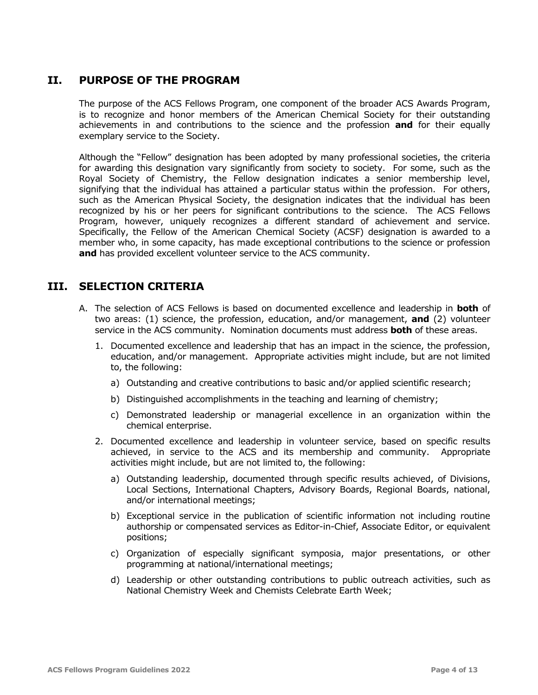## <span id="page-3-0"></span>**II. PURPOSE OF THE PROGRAM**

The purpose of the ACS Fellows Program, one component of the broader ACS Awards Program, is to recognize and honor members of the American Chemical Society for their outstanding achievements in and contributions to the science and the profession **and** for their equally exemplary service to the Society.

Although the "Fellow" designation has been adopted by many professional societies, the criteria for awarding this designation vary significantly from society to society. For some, such as the Royal Society of Chemistry, the Fellow designation indicates a senior membership level, signifying that the individual has attained a particular status within the profession. For others, such as the American Physical Society, the designation indicates that the individual has been recognized by his or her peers for significant contributions to the science. The ACS Fellows Program, however, uniquely recognizes a different standard of achievement and service. Specifically, the Fellow of the American Chemical Society (ACSF) designation is awarded to a member who, in some capacity, has made exceptional contributions to the science or profession **and** has provided excellent volunteer service to the ACS community.

#### <span id="page-3-1"></span>**III. SELECTION CRITERIA**

- A. The selection of ACS Fellows is based on documented excellence and leadership in **both** of two areas: (1) science, the profession, education, and/or management, **and** (2) volunteer service in the ACS community. Nomination documents must address **both** of these areas.
	- 1. Documented excellence and leadership that has an impact in the science, the profession, education, and/or management. Appropriate activities might include, but are not limited to, the following:
		- a) Outstanding and creative contributions to basic and/or applied scientific research;
		- b) Distinguished accomplishments in the teaching and learning of chemistry;
		- c) Demonstrated leadership or managerial excellence in an organization within the chemical enterprise.
	- 2. Documented excellence and leadership in volunteer service, based on specific results achieved, in service to the ACS and its membership and community. Appropriate activities might include, but are not limited to, the following:
		- a) Outstanding leadership, documented through specific results achieved, of Divisions, Local Sections, International Chapters, Advisory Boards, Regional Boards, national, and/or international meetings;
		- b) Exceptional service in the publication of scientific information not including routine authorship or compensated services as Editor-in-Chief, Associate Editor, or equivalent positions;
		- c) Organization of especially significant symposia, major presentations, or other programming at national/international meetings;
		- d) Leadership or other outstanding contributions to public outreach activities, such as National Chemistry Week and Chemists Celebrate Earth Week;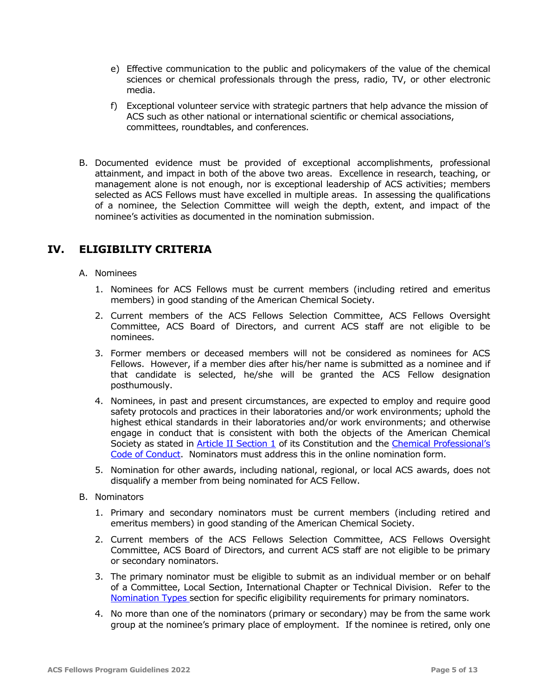- e) Effective communication to the public and policymakers of the value of the chemical sciences or chemical professionals through the press, radio, TV, or other electronic media.
- f) Exceptional volunteer service with strategic partners that help advance the mission of ACS such as other national or international scientific or chemical associations, committees, roundtables, and conferences.
- B. Documented evidence must be provided of exceptional accomplishments, professional attainment, and impact in both of the above two areas. Excellence in research, teaching, or management alone is not enough, nor is exceptional leadership of ACS activities; members selected as ACS Fellows must have excelled in multiple areas. In assessing the qualifications of a nominee, the Selection Committee will weigh the depth, extent, and impact of the nominee's activities as documented in the nomination submission.

# <span id="page-4-0"></span>**IV. ELIGIBILITY CRITERIA**

- A. Nominees
	- 1. Nominees for ACS Fellows must be current members (including retired and emeritus members) in good standing of the American Chemical Society.
	- 2. Current members of the ACS Fellows Selection Committee, ACS Fellows Oversight Committee, ACS Board of Directors, and current ACS staff are not eligible to be nominees.
	- 3. Former members or deceased members will not be considered as nominees for ACS Fellows. However, if a member dies after his/her name is submitted as a nominee and if that candidate is selected, he/she will be granted the ACS Fellow designation posthumously.
	- 4. Nominees, in past and present circumstances, are expected to employ and require good safety protocols and practices in their laboratories and/or work environments; uphold the highest ethical standards in their laboratories and/or work environments; and otherwise engage in conduct that is consistent with both the objects of the American Chemical Society as stated in [Article II Section 1](http://www.acs.org/content/dam/acsorg/about/governance/charter/bulletin-5.pdf) of its Constitution and the Chemical Professional's [Code of Conduct.](http://www.acs.org/content/acs/en/careers/career-services/ethics/the-chemical-professionals-code-of-conduct.html) Nominators must address this in the online nomination form.
	- 5. Nomination for other awards, including national, regional, or local ACS awards, does not disqualify a member from being nominated for ACS Fellow.
- B. Nominators
	- 1. Primary and secondary nominators must be current members (including retired and emeritus members) in good standing of the American Chemical Society.
	- 2. Current members of the ACS Fellows Selection Committee, ACS Fellows Oversight Committee, ACS Board of Directors, and current ACS staff are not eligible to be primary or secondary nominators.
	- 3. The primary nominator must be eligible to submit as an individual member or on behalf of a Committee, Local Section, International Chapter or Technical Division. Refer to the [Nomination Types](#page-5-0) section for specific eligibility requirements for primary nominators.
	- 4. No more than one of the nominators (primary or secondary) may be from the same work group at the nominee's primary place of employment. If the nominee is retired, only one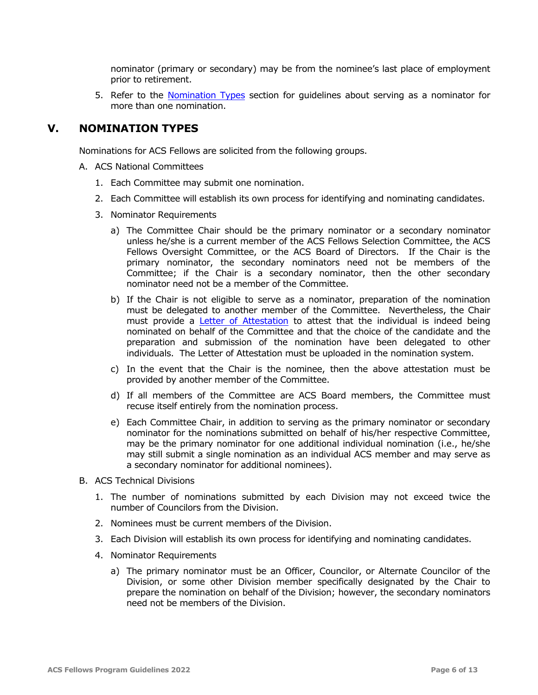nominator (primary or secondary) may be from the nominee's last place of employment prior to retirement.

5. Refer to the [Nomination Types](#page-5-0) section for guidelines about serving as a nominator for more than one nomination.

#### <span id="page-5-0"></span>**V. NOMINATION TYPES**

Nominations for ACS Fellows are solicited from the following groups.

- A. ACS National Committees
	- 1. Each Committee may submit one nomination.
	- 2. Each Committee will establish its own process for identifying and nominating candidates.
	- 3. Nominator Requirements
		- a) The Committee Chair should be the primary nominator or a secondary nominator unless he/she is a current member of the ACS Fellows Selection Committee, the ACS Fellows Oversight Committee, or the ACS Board of Directors. If the Chair is the primary nominator, the secondary nominators need not be members of the Committee; if the Chair is a secondary nominator, then the other secondary nominator need not be a member of the Committee.
		- b) If the Chair is not eligible to serve as a nominator, preparation of the nomination must be delegated to another member of the Committee. Nevertheless, the Chair must provide a [Letter of Attestation](#page-10-0) to attest that the individual is indeed being nominated on behalf of the Committee and that the choice of the candidate and the preparation and submission of the nomination have been delegated to other individuals. The Letter of Attestation must be uploaded in the nomination system.
		- c) In the event that the Chair is the nominee, then the above attestation must be provided by another member of the Committee.
		- d) If all members of the Committee are ACS Board members, the Committee must recuse itself entirely from the nomination process.
		- e) Each Committee Chair, in addition to serving as the primary nominator or secondary nominator for the nominations submitted on behalf of his/her respective Committee, may be the primary nominator for one additional individual nomination (i.e., he/she may still submit a single nomination as an individual ACS member and may serve as a secondary nominator for additional nominees).
- B. ACS Technical Divisions
	- 1. The number of nominations submitted by each Division may not exceed twice the number of Councilors from the Division.
	- 2. Nominees must be current members of the Division.
	- 3. Each Division will establish its own process for identifying and nominating candidates.
	- 4. Nominator Requirements
		- a) The primary nominator must be an Officer, Councilor, or Alternate Councilor of the Division, or some other Division member specifically designated by the Chair to prepare the nomination on behalf of the Division; however, the secondary nominators need not be members of the Division.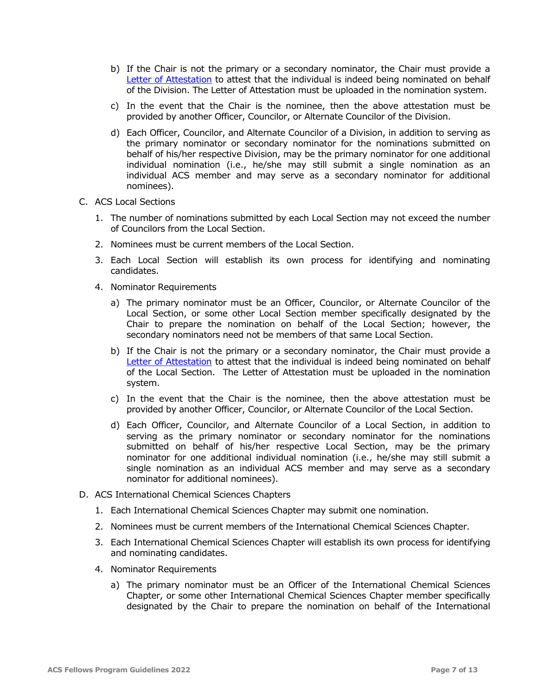- b) If the Chair is not the primary or a secondary nominator, the Chair must provide a [Letter of Attestation](#page-10-0) to attest that the individual is indeed being nominated on behalf of the Division. The Letter of Attestation must be uploaded in the nomination system.
- c) In the event that the Chair is the nominee, then the above attestation must be provided by another Officer, Councilor, or Alternate Councilor of the Division.
- d) Each Officer, Councilor, and Alternate Councilor of a Division, in addition to serving as the primary nominator or secondary nominator for the nominations submitted on behalf of his/her respective Division, may be the primary nominator for one additional individual nomination (i.e., he/she may still submit a single nomination as an individual ACS member and may serve as a secondary nominator for additional nominees).
- C. ACS Local Sections
	- 1. The number of nominations submitted by each Local Section may not exceed the number of Councilors from the Local Section.
	- 2. Nominees must be current members of the Local Section.
	- 3. Each Local Section will establish its own process for identifying and nominating candidates.
	- 4. Nominator Requirements
		- a) The primary nominator must be an Officer, Councilor, or Alternate Councilor of the Local Section, or some other Local Section member specifically designated by the Chair to prepare the nomination on behalf of the Local Section; however, the secondary nominators need not be members of that same Local Section.
		- b) If the Chair is not the primary or a secondary nominator, the Chair must provide a [Letter of Attestation](#page-10-0) to attest that the individual is indeed being nominated on behalf of the Local Section. The Letter of Attestation must be uploaded in the nomination system.
		- c) In the event that the Chair is the nominee, then the above attestation must be provided by another Officer, Councilor, or Alternate Councilor of the Local Section.
		- d) Each Officer, Councilor, and Alternate Councilor of a Local Section, in addition to serving as the primary nominator or secondary nominator for the nominations submitted on behalf of his/her respective Local Section, may be the primary nominator for one additional individual nomination (i.e., he/she may still submit a single nomination as an individual ACS member and may serve as a secondary nominator for additional nominees).
- D. ACS International Chemical Sciences Chapters
	- 1. Each International Chemical Sciences Chapter may submit one nomination.
	- 2. Nominees must be current members of the International Chemical Sciences Chapter.
	- 3. Each International Chemical Sciences Chapter will establish its own process for identifying and nominating candidates.
	- 4. Nominator Requirements
		- a) The primary nominator must be an Officer of the International Chemical Sciences Chapter, or some other International Chemical Sciences Chapter member specifically designated by the Chair to prepare the nomination on behalf of the International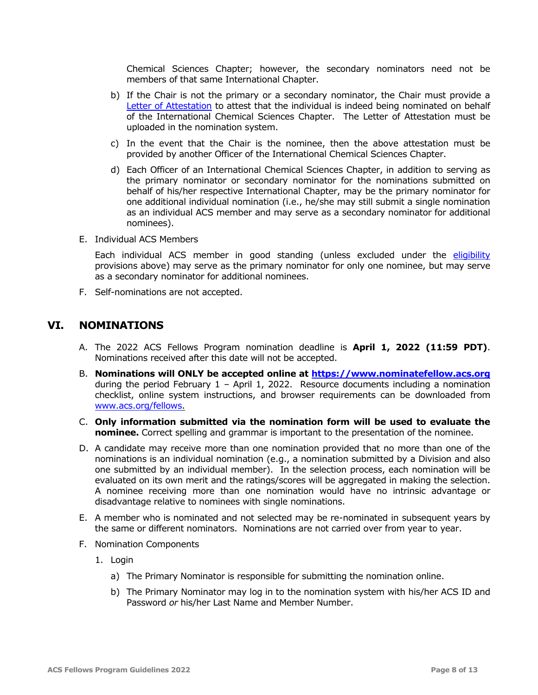Chemical Sciences Chapter; however, the secondary nominators need not be members of that same International Chapter.

- b) If the Chair is not the primary or a secondary nominator, the Chair must provide a [Letter of Attestation](#page-10-0) to attest that the individual is indeed being nominated on behalf of the International Chemical Sciences Chapter. The Letter of Attestation must be uploaded in the nomination system.
- c) In the event that the Chair is the nominee, then the above attestation must be provided by another Officer of the International Chemical Sciences Chapter.
- d) Each Officer of an International Chemical Sciences Chapter, in addition to serving as the primary nominator or secondary nominator for the nominations submitted on behalf of his/her respective International Chapter, may be the primary nominator for one additional individual nomination (i.e., he/she may still submit a single nomination as an individual ACS member and may serve as a secondary nominator for additional nominees).
- E. Individual ACS Members

Each individual ACS member in good standing (unless excluded under the [eligibility](#page-4-0) provisions above) may serve as the primary nominator for only one nominee, but may serve as a secondary nominator for additional nominees.

F. Self-nominations are not accepted.

#### <span id="page-7-0"></span>**VI. NOMINATIONS**

- A. The 2022 ACS Fellows Program nomination deadline is **April 1, 2022 (11:59 PDT)**. Nominations received after this date will not be accepted.
- B. **Nominations will ONLY be accepted online at [https://www.nominatefellow.acs.org](https://www.nominatefellow.acs.org/)** during the period February  $1 -$  April 1, 2022. Resource documents including a nomination checklist, online system instructions, and browser requirements can be downloaded from [www.acs.org/fellows.](http://www.acs.org/fellows)
- C. **Only information submitted via the nomination form will be used to evaluate the nominee.** Correct spelling and grammar is important to the presentation of the nominee.
- D. A candidate may receive more than one nomination provided that no more than one of the nominations is an individual nomination (e.g., a nomination submitted by a Division and also one submitted by an individual member). In the selection process, each nomination will be evaluated on its own merit and the ratings/scores will be aggregated in making the selection. A nominee receiving more than one nomination would have no intrinsic advantage or disadvantage relative to nominees with single nominations.
- E. A member who is nominated and not selected may be re-nominated in subsequent years by the same or different nominators. Nominations are not carried over from year to year.
- <span id="page-7-1"></span>F. Nomination Components
	- 1. Login
		- a) The Primary Nominator is responsible for submitting the nomination online.
		- b) The Primary Nominator may log in to the nomination system with his/her ACS ID and Password *or* his/her Last Name and Member Number.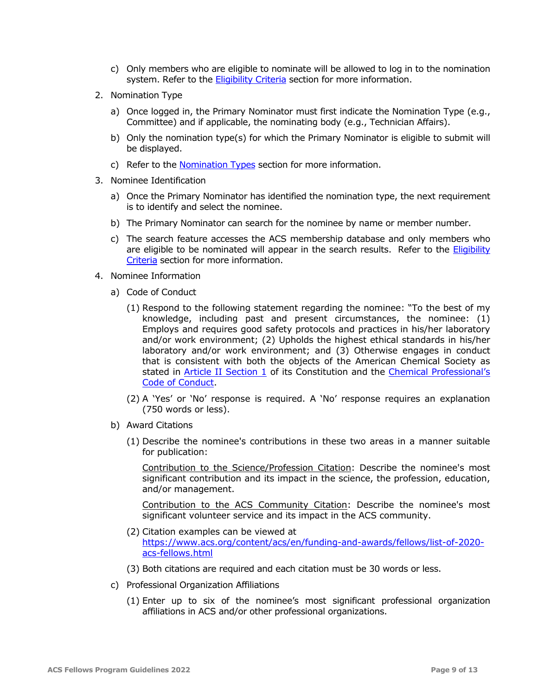- c) Only members who are eligible to nominate will be allowed to log in to the nomination system. Refer to the [Eligibility Criteria](#page-4-0) section for more information.
- 2. Nomination Type
	- a) Once logged in, the Primary Nominator must first indicate the Nomination Type (e.g., Committee) and if applicable, the nominating body (e.g., Technician Affairs).
	- b) Only the nomination type(s) for which the Primary Nominator is eligible to submit will be displayed.
	- c) Refer to the [Nomination Types](#page-5-0) section for more information.
- 3. Nominee Identification
	- a) Once the Primary Nominator has identified the nomination type, the next requirement is to identify and select the nominee.
	- b) The Primary Nominator can search for the nominee by name or member number.
	- c) The search feature accesses the ACS membership database and only members who are eligible to be nominated will appear in the search results. Refer to the [Eligibility](#page-4-0)  [Criteria](#page-4-0) section for more information.
- 4. Nominee Information
	- a) Code of Conduct
		- (1) Respond to the following statement regarding the nominee: "To the best of my knowledge, including past and present circumstances, the nominee: (1) Employs and requires good safety protocols and practices in his/her laboratory and/or work environment; (2) Upholds the highest ethical standards in his/her laboratory and/or work environment; and (3) Otherwise engages in conduct that is consistent with both the objects of the American Chemical Society as stated in **Article II Section 1** of its Constitution and the **Chemical Professional's** [Code of Conduct.](http://www.acs.org/content/acs/en/careers/career-services/ethics/the-chemical-professionals-code-of-conduct.html)
		- (2) A 'Yes' or 'No' response is required. A 'No' response requires an explanation (750 words or less).
	- b) Award Citations
		- (1) Describe the nominee's contributions in these two areas in a manner suitable for publication:

Contribution to the Science/Profession Citation: Describe the nominee's most significant contribution and its impact in the science, the profession, education, and/or management.

Contribution to the ACS Community Citation: Describe the nominee's most significant volunteer service and its impact in the ACS community.

- (2) Citation examples can be viewed at [https://www.acs.org/content/acs/en/funding-and-awards/fellows/list-of-2020](https://www.acs.org/content/acs/en/funding-and-awards/fellows/list-of-2020-acs-fellows.html) [acs-fellows.html](https://www.acs.org/content/acs/en/funding-and-awards/fellows/list-of-2020-acs-fellows.html)
- (3) Both citations are required and each citation must be 30 words or less.
- c) Professional Organization Affiliations
	- (1) Enter up to six of the nominee's most significant professional organization affiliations in ACS and/or other professional organizations.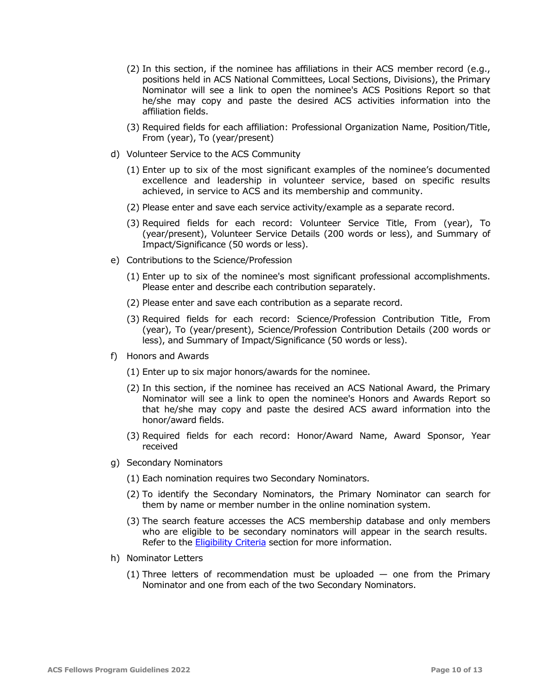- (2) In this section, if the nominee has affiliations in their ACS member record (e.g., positions held in ACS National Committees, Local Sections, Divisions), the Primary Nominator will see a link to open the nominee's ACS Positions Report so that he/she may copy and paste the desired ACS activities information into the affiliation fields.
- (3) Required fields for each affiliation: Professional Organization Name, Position/Title, From (year), To (year/present)
- d) Volunteer Service to the ACS Community
	- (1) Enter up to six of the most significant examples of the nominee's documented excellence and leadership in volunteer service, based on specific results achieved, in service to ACS and its membership and community.
	- (2) Please enter and save each service activity/example as a separate record.
	- (3) Required fields for each record: Volunteer Service Title, From (year), To (year/present), Volunteer Service Details (200 words or less), and Summary of Impact/Significance (50 words or less).
- e) Contributions to the Science/Profession
	- (1) Enter up to six of the nominee's most significant professional accomplishments. Please enter and describe each contribution separately.
	- (2) Please enter and save each contribution as a separate record.
	- (3) Required fields for each record: Science/Profession Contribution Title, From (year), To (year/present), Science/Profession Contribution Details (200 words or less), and Summary of Impact/Significance (50 words or less).
- f) Honors and Awards
	- (1) Enter up to six major honors/awards for the nominee.
	- (2) In this section, if the nominee has received an ACS National Award, the Primary Nominator will see a link to open the nominee's Honors and Awards Report so that he/she may copy and paste the desired ACS award information into the honor/award fields.
	- (3) Required fields for each record: Honor/Award Name, Award Sponsor, Year received
- g) Secondary Nominators
	- (1) Each nomination requires two Secondary Nominators.
	- (2) To identify the Secondary Nominators, the Primary Nominator can search for them by name or member number in the online nomination system.
	- (3) The search feature accesses the ACS membership database and only members who are eligible to be secondary nominators will appear in the search results. Refer to the [Eligibility](#page-4-0) Criteria section for more information.
- <span id="page-9-0"></span>h) Nominator Letters
	- (1) Three letters of recommendation must be uploaded  $-$  one from the Primary Nominator and one from each of the two Secondary Nominators.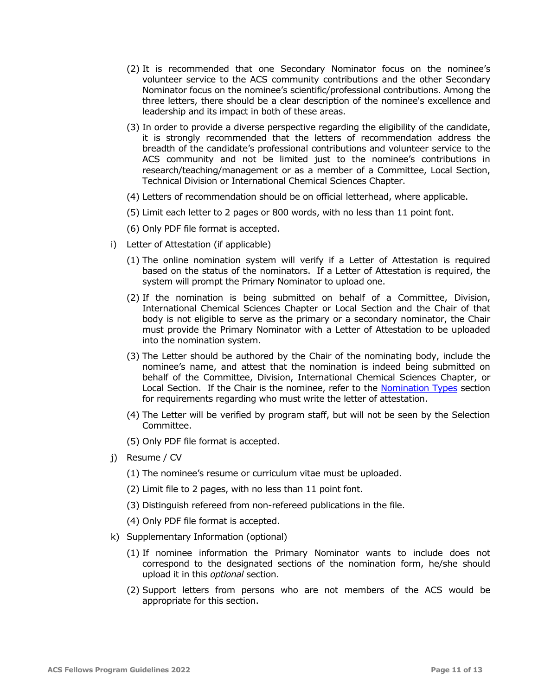- (2) It is recommended that one Secondary Nominator focus on the nominee's volunteer service to the ACS community contributions and the other Secondary Nominator focus on the nominee's scientific/professional contributions. Among the three letters, there should be a clear description of the nominee's excellence and leadership and its impact in both of these areas.
- (3) In order to provide a diverse perspective regarding the eligibility of the candidate, it is strongly recommended that the letters of recommendation address the breadth of the candidate's professional contributions and volunteer service to the ACS community and not be limited just to the nominee's contributions in research/teaching/management or as a member of a Committee, Local Section, Technical Division or International Chemical Sciences Chapter.
- (4) Letters of recommendation should be on official letterhead, where applicable.
- (5) Limit each letter to 2 pages or 800 words, with no less than 11 point font.
- (6) Only PDF file format is accepted.
- <span id="page-10-0"></span>i) Letter of Attestation (if applicable)
	- (1) The online nomination system will verify if a Letter of Attestation is required based on the status of the nominators. If a Letter of Attestation is required, the system will prompt the Primary Nominator to upload one.
	- (2) If the nomination is being submitted on behalf of a Committee, Division, International Chemical Sciences Chapter or Local Section and the Chair of that body is not eligible to serve as the primary or a secondary nominator, the Chair must provide the Primary Nominator with a Letter of Attestation to be uploaded into the nomination system.
	- (3) The Letter should be authored by the Chair of the nominating body, include the nominee's name, and attest that the nomination is indeed being submitted on behalf of the Committee, Division, International Chemical Sciences Chapter, or Local Section. If the Chair is the nominee, refer to the [Nomination Types](#page-5-0) section for requirements regarding who must write the letter of attestation.
	- (4) The Letter will be verified by program staff, but will not be seen by the Selection Committee.
	- (5) Only PDF file format is accepted.
- j) Resume / CV
	- (1) The nominee's resume or curriculum vitae must be uploaded.
	- (2) Limit file to 2 pages, with no less than 11 point font.
	- (3) Distinguish refereed from non-refereed publications in the file.
	- (4) Only PDF file format is accepted.
- k) Supplementary Information (optional)
	- (1) If nominee information the Primary Nominator wants to include does not correspond to the designated sections of the nomination form, he/she should upload it in this *optional* section.
	- (2) Support letters from persons who are not members of the ACS would be appropriate for this section.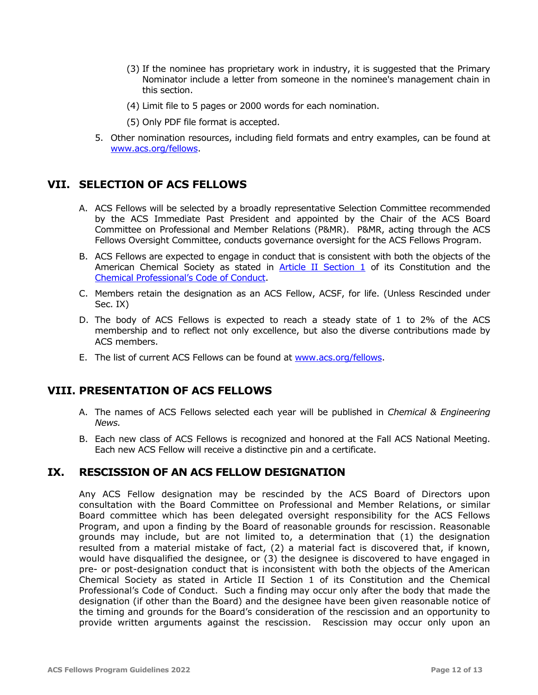- (3) If the nominee has proprietary work in industry, it is suggested that the Primary Nominator include a letter from someone in the nominee's management chain in this section.
- (4) Limit file to 5 pages or 2000 words for each nomination.
- (5) Only PDF file format is accepted.
- 5. Other nomination resources, including field formats and entry examples, can be found at [www.acs.org/fellows.](http://www.acs.org/fellows)

#### <span id="page-11-0"></span>**VII. SELECTION OF ACS FELLOWS**

- A. ACS Fellows will be selected by a broadly representative Selection Committee recommended by the ACS Immediate Past President and appointed by the Chair of the ACS Board Committee on Professional and Member Relations (P&MR). P&MR, acting through the ACS Fellows Oversight Committee, conducts governance oversight for the ACS Fellows Program.
- B. ACS Fellows are expected to engage in conduct that is consistent with both the objects of the American Chemical Society as stated in  $Article$  II Section  $1$  of its Constitution and the [Chemical Professional's Code of Conduct](http://www.acs.org/content/acs/en/careers/career-services/ethics/the-chemical-professionals-code-of-conduct.html).
- C. Members retain the designation as an ACS Fellow, ACSF, for life. (Unless Rescinded under Sec. IX)
- D. The body of ACS Fellows is expected to reach a steady state of 1 to 2% of the ACS membership and to reflect not only excellence, but also the diverse contributions made by ACS members.
- E. The list of current ACS Fellows can be found at [www.acs.org/fellows.](http://www.acs.org/fellows)

#### <span id="page-11-1"></span>**VIII. PRESENTATION OF ACS FELLOWS**

- A. The names of ACS Fellows selected each year will be published in *Chemical & Engineering News.*
- B. Each new class of ACS Fellows is recognized and honored at the Fall ACS National Meeting. Each new ACS Fellow will receive a distinctive pin and a certificate.

#### <span id="page-11-2"></span>**IX. RESCISSION OF AN ACS FELLOW DESIGNATION**

Any ACS Fellow designation may be rescinded by the ACS Board of Directors upon consultation with the Board Committee on Professional and Member Relations, or similar Board committee which has been delegated oversight responsibility for the ACS Fellows Program, and upon a finding by the Board of reasonable grounds for rescission. Reasonable grounds may include, but are not limited to, a determination that (1) the designation resulted from a material mistake of fact, (2) a material fact is discovered that, if known, would have disqualified the designee, or (3) the designee is discovered to have engaged in pre- or post-designation conduct that is inconsistent with both the objects of the American Chemical Society as stated in Article II Section 1 of its Constitution and the Chemical Professional's Code of Conduct. Such a finding may occur only after the body that made the designation (if other than the Board) and the designee have been given reasonable notice of the timing and grounds for the Board's consideration of the rescission and an opportunity to provide written arguments against the rescission. Rescission may occur only upon an